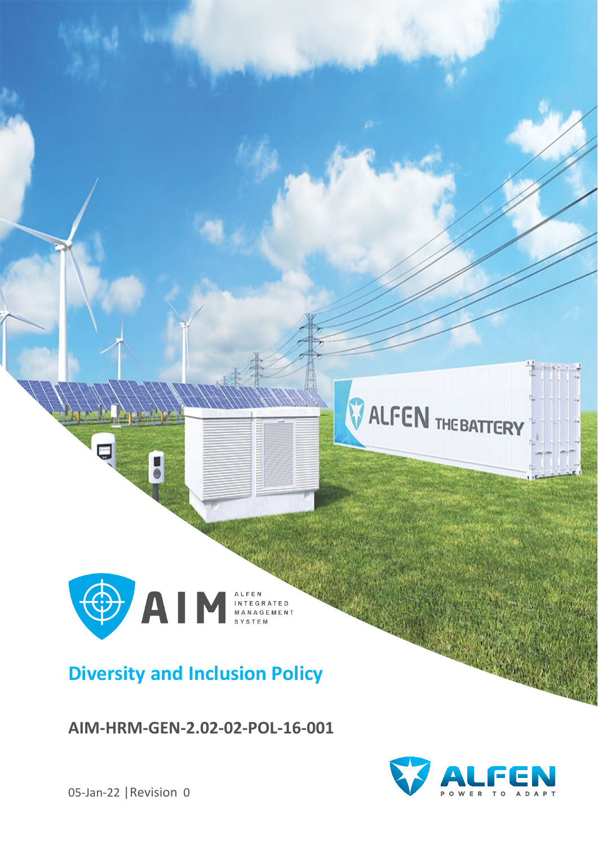

## **Diversity and Inclusion Policy**

**AIM-HRM-GEN-2.02-02-POL-16-001**



**ALFEN** THEBATTERY

05-Jan-22 |Revision 0

 $\frac{1}{2}$ 

 $\bullet$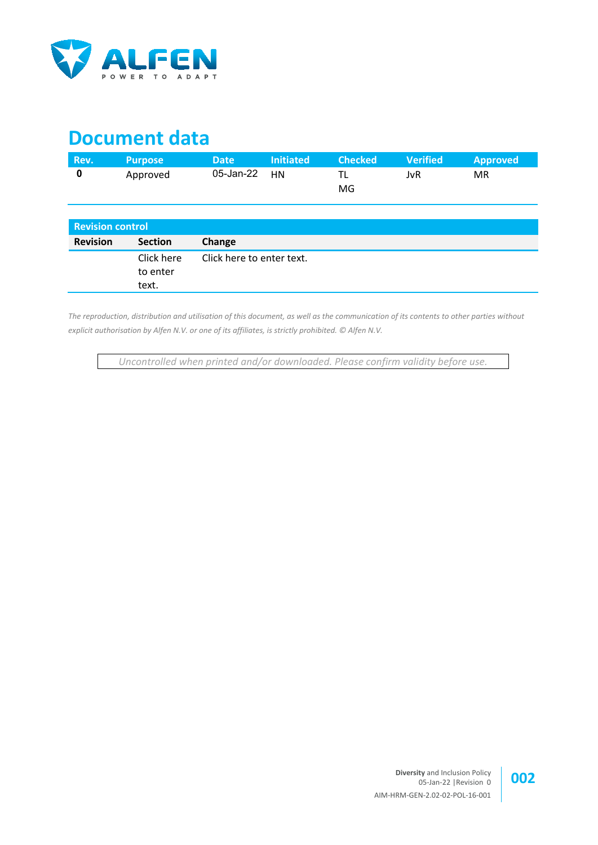

## **Document data**

| Rev. | <b>Purpose</b> | <b>Date</b>     | <b>Initiated</b> | <b>Checked</b> | <b>Verified</b> | <b>Approved</b> |
|------|----------------|-----------------|------------------|----------------|-----------------|-----------------|
|      | Approved       | $05$ -Jan-22 HN |                  | MG             | JvR             | МR              |

| <b>Revision control</b> |                                                              |  |  |
|-------------------------|--------------------------------------------------------------|--|--|
| <b>Revision</b>         | Change<br><b>Section</b>                                     |  |  |
|                         | Click here<br>Click here to enter text.<br>to enter<br>text. |  |  |

*The reproduction, distribution and utilisation of this document, as well as the communication of its contents to other parties without explicit authorisation by Alfen N.V. or one of its affiliates, is strictly prohibited. © Alfen N.V.*

*Uncontrolled when printed and/or downloaded. Please confirm validity before use.*

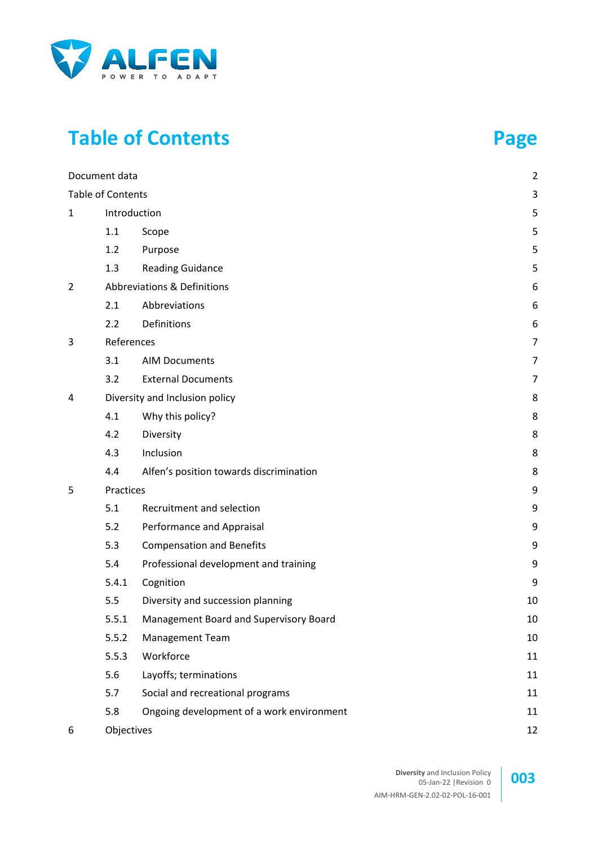

# **Table of Contents Page**

|             | Document data     |                                               | $\overline{2}$ |
|-------------|-------------------|-----------------------------------------------|----------------|
|             | Table of Contents |                                               | 3              |
| $\mathbf 1$ | Introduction      |                                               | 5              |
|             | 1.1               | Scope                                         | 5              |
|             | 1.2               | Purpose                                       | 5              |
|             | 1.3               | <b>Reading Guidance</b>                       | 5              |
| 2           |                   | Abbreviations & Definitions                   | 6              |
|             | 2.1               | Abbreviations                                 | 6              |
|             | 2.2               | Definitions                                   | 6              |
| 3           | References        |                                               | 7              |
|             | 3.1               | <b>AIM Documents</b>                          | $\overline{7}$ |
|             | 3.2               | <b>External Documents</b>                     | 7              |
| 4           |                   | Diversity and Inclusion policy                | 8              |
|             | 4.1               | Why this policy?                              | 8              |
|             | 4.2               | Diversity                                     | 8              |
|             | 4.3               | Inclusion                                     | 8              |
|             | 4.4               | Alfen's position towards discrimination       | 8              |
| 5           | Practices         |                                               | 9              |
|             | 5.1               | Recruitment and selection                     | 9              |
|             | 5.2               | Performance and Appraisal                     | 9              |
|             | 5.3               | <b>Compensation and Benefits</b>              | 9              |
|             | 5.4               | Professional development and training         | 9              |
|             | 5.4.1             | Cognition                                     | 9              |
|             | 5.5               | Diversity and succession planning             | 10             |
|             | 5.5.1             | <b>Management Board and Supervisory Board</b> | 10             |
|             | 5.5.2             | Management Team                               | 10             |
|             | 5.5.3             | Workforce                                     | 11             |
|             | 5.6               | Layoffs; terminations                         | 11             |
|             | 5.7               | Social and recreational programs              | 11             |
|             | 5.8               | Ongoing development of a work environment     | 11             |
| 6           | Objectives        |                                               | 12             |

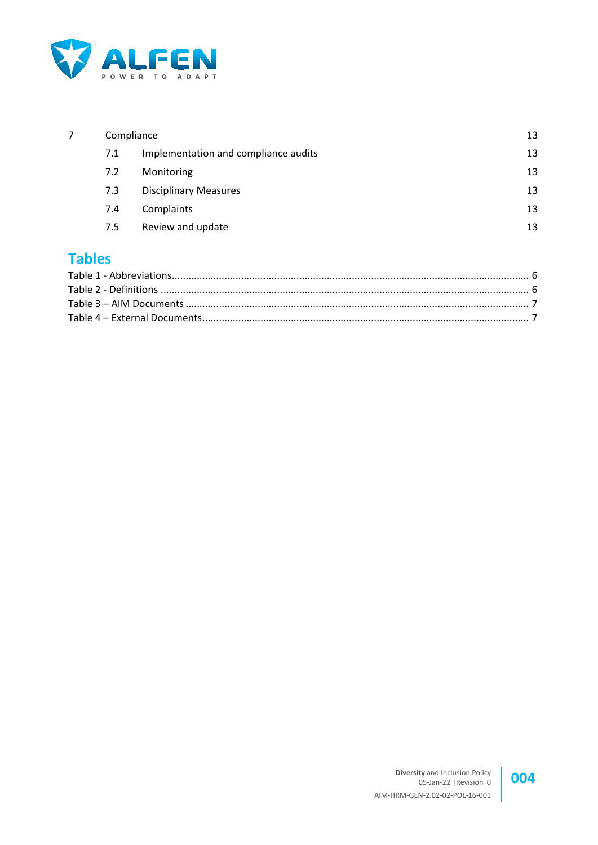

| Compliance |                                      |    |
|------------|--------------------------------------|----|
| 7.1        | Implementation and compliance audits | 13 |
| 7.2        | Monitoring                           | 13 |
| 7.3        | <b>Disciplinary Measures</b>         | 13 |
| 7.4        | Complaints                           | 13 |
| 7.5        | Review and update                    | 13 |

#### **Tables**

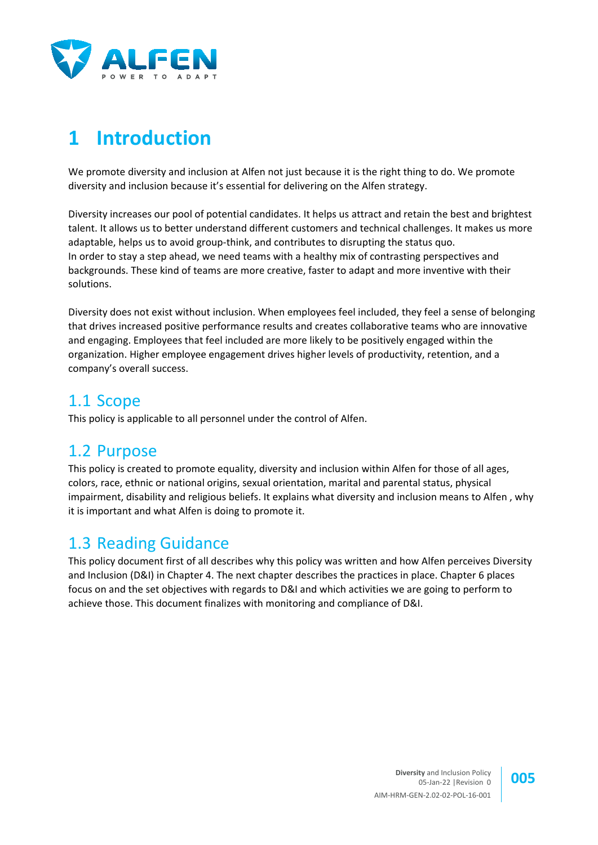

# **1 Introduction**

We promote diversity and inclusion at Alfen not just because it is the right thing to do. We promote diversity and inclusion because it's essential for delivering on the Alfen strategy.

Diversity increases our pool of potential candidates. It helps us attract and retain the best and brightest talent. It allows us to better understand different customers and technical challenges. It makes us more adaptable, helps us to avoid group-think, and contributes to disrupting the status quo. In order to stay a step ahead, we need teams with a healthy mix of contrasting perspectives and backgrounds. These kind of teams are more creative, faster to adapt and more inventive with their solutions.

Diversity does not exist without inclusion. When employees feel included, they feel a sense of belonging that drives increased positive performance results and creates collaborative teams who are innovative and engaging. Employees that feel included are more likely to be positively engaged within the organization. Higher employee engagement drives higher levels of productivity, retention, and a company's overall success.

#### 1.1 Scope

This policy is applicable to all personnel under the control of Alfen.

#### 1.2 Purpose

This policy is created to promote equality, diversity and inclusion within Alfen for those of all ages, colors, race, ethnic or national origins, sexual orientation, marital and parental status, physical impairment, disability and religious beliefs. It explains what diversity and inclusion means to Alfen , why it is important and what Alfen is doing to promote it.

#### 1.3 Reading Guidance

This policy document first of all describes why this policy was written and how Alfen perceives Diversity and Inclusion (D&I) in Chapter 4. The next chapter describes the practices in place. Chapter 6 places focus on and the set objectives with regards to D&I and which activities we are going to perform to achieve those. This document finalizes with monitoring and compliance of D&I.

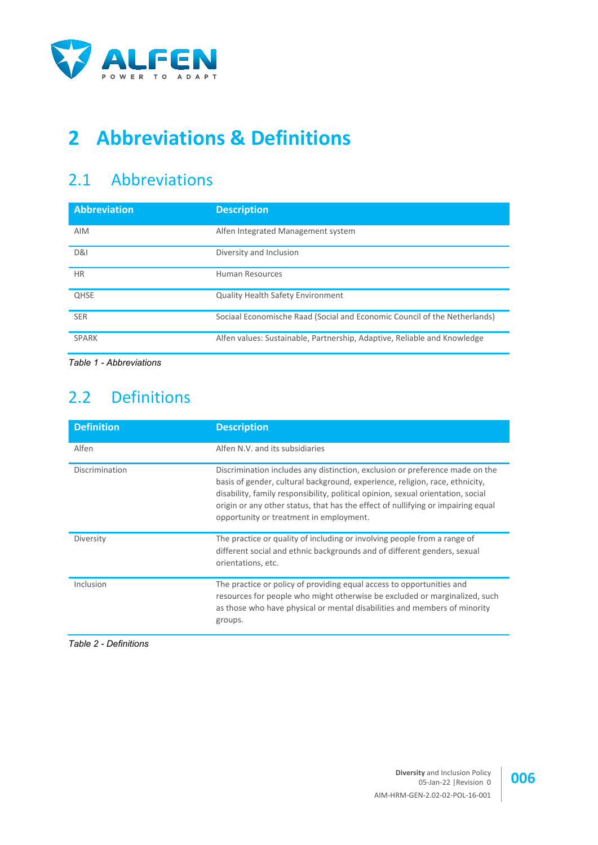

# **2 Abbreviations & Definitions**

## 2.1 Abbreviations

| <b>Description</b>                                                        |  |
|---------------------------------------------------------------------------|--|
| Alfen Integrated Management system                                        |  |
| Diversity and Inclusion                                                   |  |
| <b>Human Resources</b>                                                    |  |
| <b>Quality Health Safety Environment</b>                                  |  |
| Sociaal Economische Raad (Social and Economic Council of the Netherlands) |  |
| Alfen values: Sustainable, Partnership, Adaptive, Reliable and Knowledge  |  |
|                                                                           |  |

<span id="page-5-0"></span>*Table 1 - Abbreviations*

## 2.2 Definitions

| <b>Definition</b> | <b>Description</b>                                                                                                                                                                                                                                                                                                                                                              |
|-------------------|---------------------------------------------------------------------------------------------------------------------------------------------------------------------------------------------------------------------------------------------------------------------------------------------------------------------------------------------------------------------------------|
| Alfen             | Alfen N.V. and its subsidiaries                                                                                                                                                                                                                                                                                                                                                 |
| Discrimination    | Discrimination includes any distinction, exclusion or preference made on the<br>basis of gender, cultural background, experience, religion, race, ethnicity,<br>disability, family responsibility, political opinion, sexual orientation, social<br>origin or any other status, that has the effect of nullifying or impairing equal<br>opportunity or treatment in employment. |
| Diversity         | The practice or quality of including or involving people from a range of<br>different social and ethnic backgrounds and of different genders, sexual<br>orientations, etc.                                                                                                                                                                                                      |
| Inclusion         | The practice or policy of providing equal access to opportunities and<br>resources for people who might otherwise be excluded or marginalized, such<br>as those who have physical or mental disabilities and members of minority<br>groups.                                                                                                                                     |

<span id="page-5-1"></span>*Table 2 - Definitions*

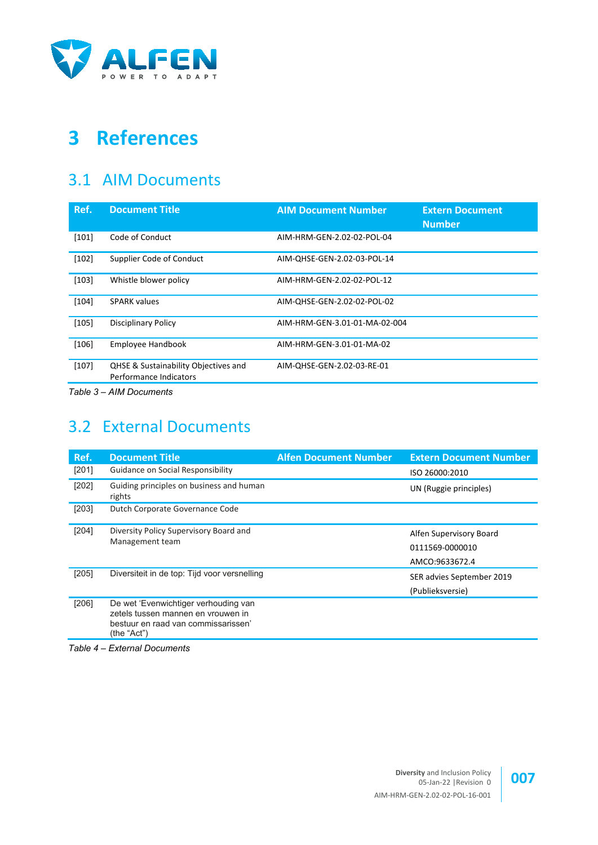

# **3 References**

#### 3.1 AIM Documents

<span id="page-6-6"></span><span id="page-6-5"></span>

| Ref.    | <b>Document Title</b>                                          | <b>AIM Document Number</b>    | <b>Extern Document</b><br><b>Number</b> |
|---------|----------------------------------------------------------------|-------------------------------|-----------------------------------------|
| $[101]$ | Code of Conduct                                                | AIM-HRM-GEN-2.02-02-POL-04    |                                         |
| [102]   | Supplier Code of Conduct                                       | AIM-QHSE-GEN-2.02-03-POL-14   |                                         |
| [103]   | Whistle blower policy                                          | AIM-HRM-GEN-2.02-02-POL-12    |                                         |
| $[104]$ | <b>SPARK values</b>                                            | AIM-OHSE-GEN-2.02-02-POL-02   |                                         |
| $[105]$ | <b>Disciplinary Policy</b>                                     | AIM-HRM-GEN-3.01-01-MA-02-004 |                                         |
| [106]   | Employee Handbook                                              | AIM-HRM-GEN-3.01-01-MA-02     |                                         |
| [107]   | QHSE & Sustainability Objectives and<br>Performance Indicators | AIM-QHSE-GEN-2.02-03-RE-01    |                                         |

<span id="page-6-12"></span><span id="page-6-11"></span><span id="page-6-7"></span><span id="page-6-4"></span><span id="page-6-0"></span>*Table 3 – AIM Documents*

## 3.2 External Documents

<span id="page-6-8"></span><span id="page-6-3"></span><span id="page-6-2"></span>

| Ref.  | <b>Document Title</b>                                                                                                            | <b>Alfen Document Number</b> | <b>Extern Document Number</b>                                |
|-------|----------------------------------------------------------------------------------------------------------------------------------|------------------------------|--------------------------------------------------------------|
| [201] | Guidance on Social Responsibility                                                                                                |                              | ISO 26000:2010                                               |
| [202] | Guiding principles on business and human<br>rights                                                                               |                              | UN (Ruggie principles)                                       |
| [203] | Dutch Corporate Governance Code                                                                                                  |                              |                                                              |
| [204] | Diversity Policy Supervisory Board and<br>Management team                                                                        |                              | Alfen Supervisory Board<br>0111569-0000010<br>AMCO:9633672.4 |
| [205] | Diversiteit in de top: Tijd voor versnelling                                                                                     |                              | SER advies September 2019<br>(Publieksversie)                |
| [206] | De wet 'Evenwichtiger verhouding van<br>zetels tussen mannen en vrouwen in<br>bestuur en raad van commissarissen'<br>(the "Act") |                              |                                                              |

<span id="page-6-10"></span><span id="page-6-9"></span><span id="page-6-1"></span>*Table 4 – External Documents*

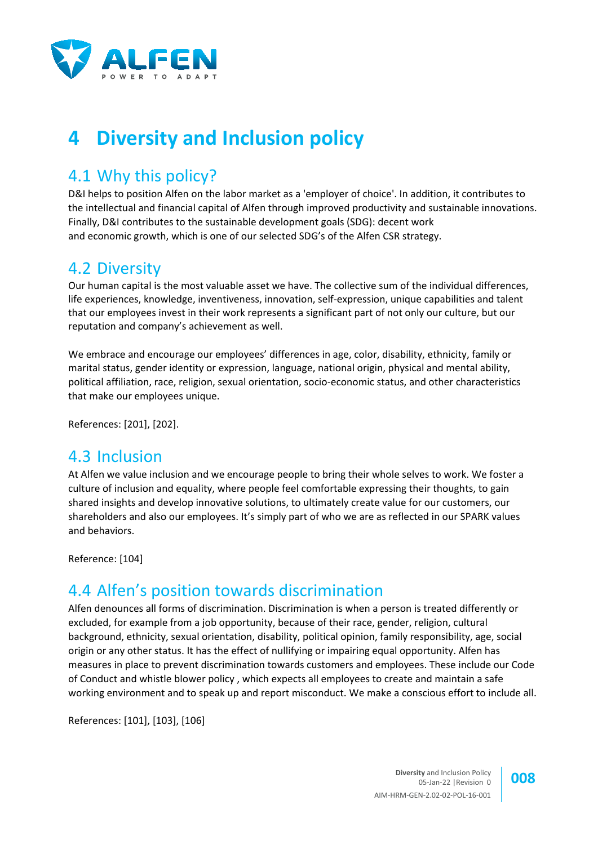

# **4 Diversity and Inclusion policy**

### 4.1 Why this policy?

D&I helps to position Alfen on the labor market as a 'employer of choice'. In addition, it contributes to the intellectual and financial capital of Alfen through improved productivity and sustainable innovations. Finally, D&I contributes to the sustainable development goals (SDG): decent work and economic growth, which is one of our selected SDG's of the Alfen CSR strategy.

#### 4.2 Diversity

Our human capital is the most valuable asset we have. The collective sum of the individual differences, life experiences, knowledge, inventiveness, innovation, self-expression, unique capabilities and talent that our employees invest in their work represents a significant part of not only our culture, but our reputation and company's achievement as well.

We embrace and encourage our employees' differences in age, color, disability, ethnicity, family or marital status, gender identity or expression, language, national origin, physical and mental ability, political affiliation, race, religion, sexual orientation, socio-economic status, and other characteristics that make our employees unique.

References: [\[201\],](#page-6-2) [\[202\].](#page-6-3)

#### 4.3 Inclusion

At Alfen we value inclusion and we encourage people to bring their whole selves to work. We foster a culture of inclusion and equality, where people feel comfortable expressing their thoughts, to gain shared insights and develop innovative solutions, to ultimately create value for our customers, our shareholders and also our employees. It's simply part of who we are as reflected in our SPARK values and behaviors.

Reference: [\[104\]](#page-6-4)

## 4.4 Alfen's position towards discrimination

Alfen denounces all forms of discrimination. Discrimination is when a person is treated differently or excluded, for example from a job opportunity, because of their race, gender, religion, cultural background, ethnicity, sexual orientation, disability, political opinion, family responsibility, age, social origin or any other status. It has the effect of nullifying or impairing equal opportunity. Alfen has measures in place to prevent discrimination towards customers and employees. These include our Code of Conduct and whistle blower policy , which expects all employees to create and maintain a safe working environment and to speak up and report misconduct. We make a conscious effort to include all.

References: [\[101\],](#page-6-5) [\[103\],](#page-6-6) [\[106\]](#page-6-7)

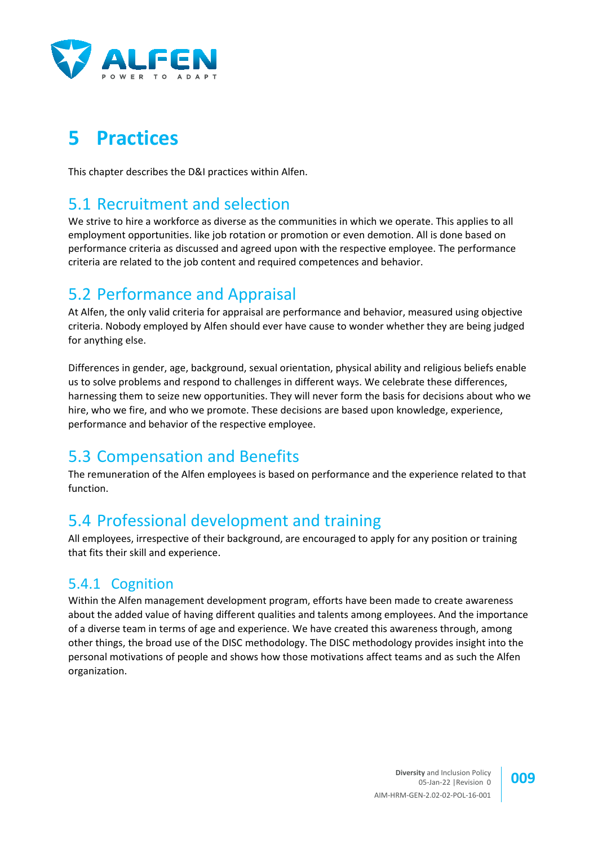

## **5 Practices**

This chapter describes the D&I practices within Alfen.

#### 5.1 Recruitment and selection

We strive to hire a workforce as diverse as the communities in which we operate. This applies to all employment opportunities. like job rotation or promotion or even demotion. All is done based on performance criteria as discussed and agreed upon with the respective employee. The performance criteria are related to the job content and required competences and behavior.

### 5.2 Performance and Appraisal

At Alfen, the only valid criteria for appraisal are performance and behavior, measured using objective criteria. Nobody employed by Alfen should ever have cause to wonder whether they are being judged for anything else.

Differences in gender, age, background, sexual orientation, physical ability and religious beliefs enable us to solve problems and respond to challenges in different ways. We celebrate these differences, harnessing them to seize new opportunities. They will never form the basis for decisions about who we hire, who we fire, and who we promote. These decisions are based upon knowledge, experience, performance and behavior of the respective employee.

### 5.3 Compensation and Benefits

The remuneration of the Alfen employees is based on performance and the experience related to that function.

## 5.4 Professional development and training

All employees, irrespective of their background, are encouraged to apply for any position or training that fits their skill and experience.

#### 5.4.1 Cognition

Within the Alfen management development program, efforts have been made to create awareness about the added value of having different qualities and talents among employees. And the importance of a diverse team in terms of age and experience. We have created this awareness through, among other things, the broad use of the DISC methodology. The DISC methodology provides insight into the personal motivations of people and shows how those motivations affect teams and as such the Alfen organization.

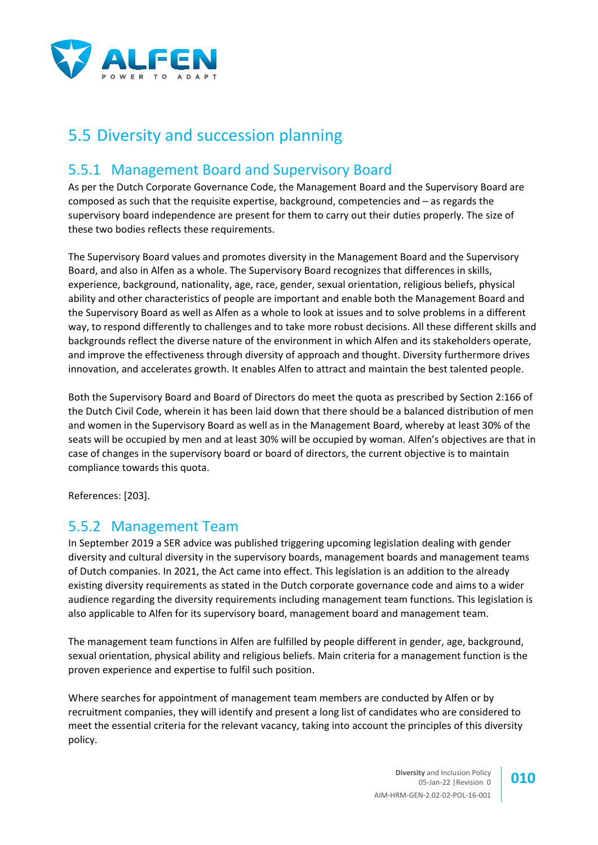

## 5.5 Diversity and succession planning

#### 5.5.1 Management Board and Supervisory Board

As per the Dutch Corporate Governance Code, the Management Board and the Supervisory Board are composed as such that the requisite expertise, background, competencies and – as regards the supervisory board independence are present for them to carry out their duties properly. The size of these two bodies reflects these requirements.

The Supervisory Board values and promotes diversity in the Management Board and the Supervisory Board, and also in Alfen as a whole. The Supervisory Board recognizes that differences in skills, experience, background, nationality, age, race, gender, sexual orientation, religious beliefs, physical ability and other characteristics of people are important and enable both the Management Board and the Supervisory Board as well as Alfen as a whole to look at issues and to solve problems in a different way, to respond differently to challenges and to take more robust decisions. All these different skills and backgrounds reflect the diverse nature of the environment in which Alfen and its stakeholders operate, and improve the effectiveness through diversity of approach and thought. Diversity furthermore drives innovation, and accelerates growth. It enables Alfen to attract and maintain the best talented people.

Both the Supervisory Board and Board of Directors do meet the quota as prescribed by Section 2:166 of the Dutch Civil Code, wherein it has been laid down that there should be a balanced distribution of men and women in the Supervisory Board as well as in the Management Board, whereby at least 30% of the seats will be occupied by men and at least 30% will be occupied by woman. Alfen's objectives are that in case of changes in the supervisory board or board of directors, the current objective is to maintain compliance towards this quota.

References: [\[203\].](#page-6-8)

#### 5.5.2 Management Team

In September 2019 a SER advice was published triggering upcoming legislation dealing with gender diversity and cultural diversity in the supervisory boards, management boards and management teams of Dutch companies. In 2021, the Act came into effect. This legislation is an addition to the already existing diversity requirements as stated in the Dutch corporate governance code and aims to a wider audience regarding the diversity requirements including management team functions. This legislation is also applicable to Alfen for its supervisory board, management board and management team.

The management team functions in Alfen are fulfilled by people different in gender, age, background, sexual orientation, physical ability and religious beliefs. Main criteria for a management function is the proven experience and expertise to fulfil such position.

Where searches for appointment of management team members are conducted by Alfen or by recruitment companies, they will identify and present a long list of candidates who are considered to meet the essential criteria for the relevant vacancy, taking into account the principles of this diversity policy.

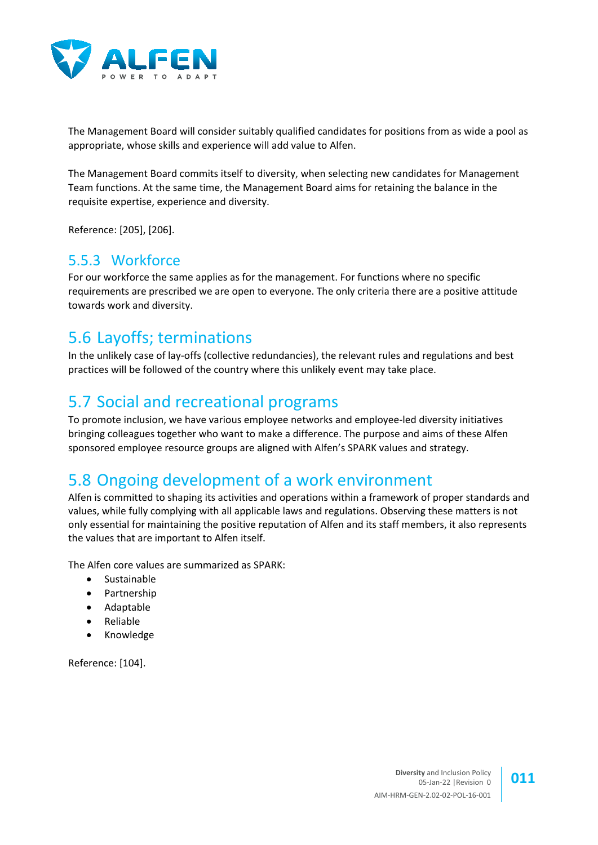

The Management Board will consider suitably qualified candidates for positions from as wide a pool as appropriate, whose skills and experience will add value to Alfen.

The Management Board commits itself to diversity, when selecting new candidates for Management Team functions. At the same time, the Management Board aims for retaining the balance in the requisite expertise, experience and diversity.

Reference: [\[205\],](#page-6-9) [\[206\].](#page-6-10)

#### 5.5.3 Workforce

For our workforce the same applies as for the management. For functions where no specific requirements are prescribed we are open to everyone. The only criteria there are a positive attitude towards work and diversity.

#### 5.6 Layoffs; terminations

In the unlikely case of lay-offs (collective redundancies), the relevant rules and regulations and best practices will be followed of the country where this unlikely event may take place.

#### 5.7 Social and recreational programs

To promote inclusion, we have various employee networks and employee-led diversity initiatives bringing colleagues together who want to make a difference. The purpose and aims of these Alfen sponsored employee resource groups are aligned with Alfen's SPARK values and strategy.

### 5.8 Ongoing development of a work environment

Alfen is committed to shaping its activities and operations within a framework of proper standards and values, while fully complying with all applicable laws and regulations. Observing these matters is not only essential for maintaining the positive reputation of Alfen and its staff members, it also represents the values that are important to Alfen itself.

The Alfen core values are summarized as SPARK:

- Sustainable
- Partnership
- Adaptable
- Reliable
- Knowledge

Reference: [\[104\].](#page-6-4)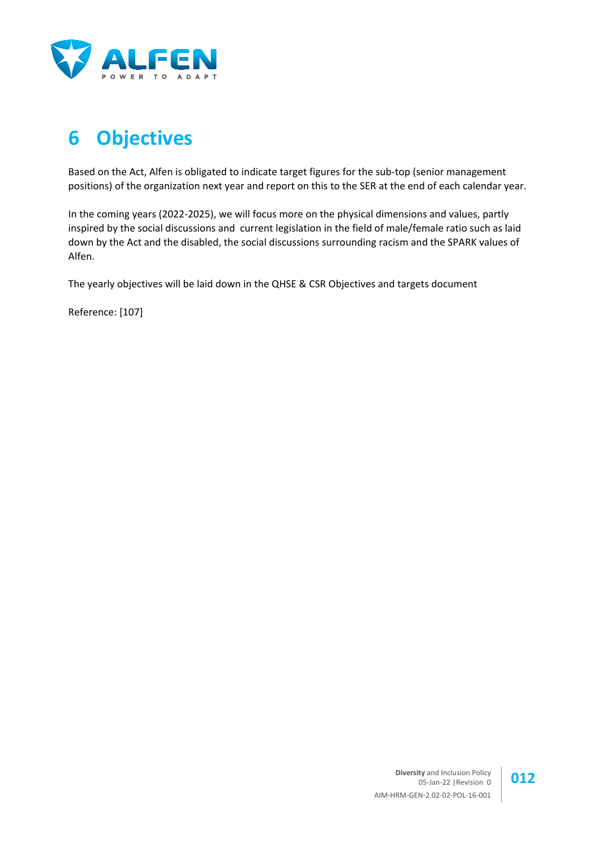

# **6 Objectives**

Based on the Act, Alfen is obligated to indicate target figures for the sub-top (senior management positions) of the organization next year and report on this to the SER at the end of each calendar year.

In the coming years (2022-2025), we will focus more on the physical dimensions and values, partly inspired by the social discussions and current legislation in the field of male/female ratio such as laid down by the Act and the disabled, the social discussions surrounding racism and the SPARK values of Alfen.

The yearly objectives will be laid down in the QHSE & CSR Objectives and targets document

Reference: [\[107\]](#page-6-11)